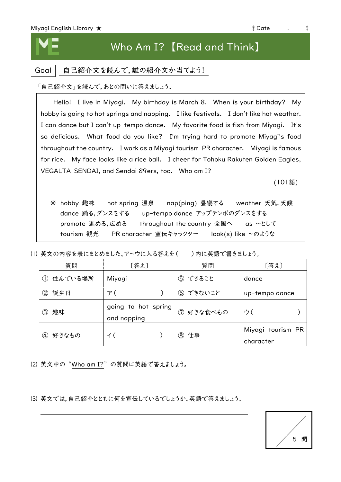## Who Am I? 【Read and Think】

## Goal | 自己紹介文を読んで,誰の紹介文か当てよう!

「自己紹介文」を読んで,あとの問いに答えましょう。

 Hello! I live in Miyagi. My birthday is March 8. When is your birthday? My hobby is going to hot springs and napping. I like festivals. I don't like hot weather. I can dance but I can't up-tempo dance. My favorite food is fish from Miyagi. It's so delicious. What food do you like? I'm trying hard to promote Miyagi's food throughout the country. I work as a Miyagi tourism PR character. Miyagi is famous for rice. My face looks like a rice ball. I cheer for Tohoku Rakuten Golden Eagles, VEGALTA SENDAI, and Sendai 89ers, too. Who am I?

(101語)

※ hobby 趣味 hot spring 温泉 nap(ping) 昼寝する weather 天気,天候 dance 踊る,ダンスをする up-tempo dance アップテンポのダンスをする promote 進める,広める throughout the country 全国へ as ~として tourism 観光 PR character 宣伝キャラクター look(s) like ~のような

(I) 英文の内容を表にまとめました。ア~ウに入る答えを() )内に英語で書きましょう。

rice ball and the ball and the ball and the ball and the ball and the ball and the

| 質問                     | [答え]                               | 質問        | [答え]                           |
|------------------------|------------------------------------|-----------|--------------------------------|
| 住んでいる場所<br>(1)         | Miyagi                             | ⑤ できること   | dance                          |
| 誕生日<br>②               | ア(                                 | ⑥ できないこと  | up-tempo dance                 |
| 趣味<br>③                | going to hot spring<br>and napping | ⑦ 好きな食べもの | ウ(                             |
| 好きなもの<br>$\circled{4}$ | イ(                                 | 8 仕事      | Miyagi tourism PR<br>character |

⑵ 英文中の"Who am I?"の質問に英語で答えましょう。

⑶ 英文では,自己紹介とともに何を宣伝しているでしょうか。英語で答えましょう。

中